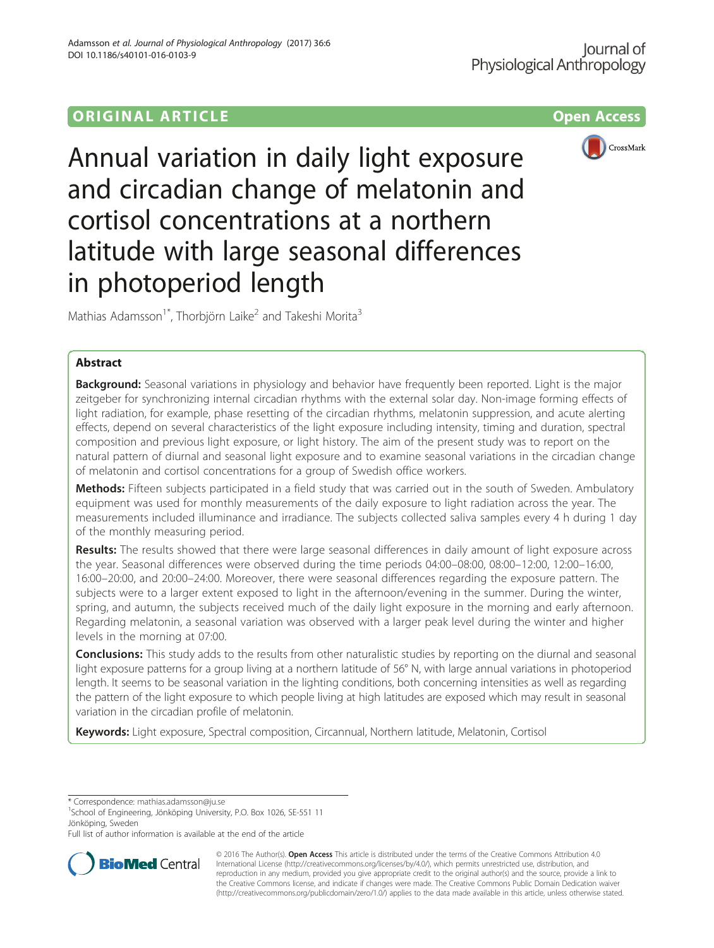# **ORIGINAL ARTICLE CONSERVANCE CONSERVANCE CONSERVANCE CONSERVANCE CONSERVANCE CONSERVANCE CONSERVANCE CONSERVANCE**



Annual variation in daily light exposure and circadian change of melatonin and cortisol concentrations at a northern latitude with large seasonal differences in photoperiod length

Mathias Adamsson<sup>1\*</sup>, Thorbjörn Laike<sup>2</sup> and Takeshi Morita<sup>3</sup>

## Abstract

**Background:** Seasonal variations in physiology and behavior have frequently been reported. Light is the major zeitgeber for synchronizing internal circadian rhythms with the external solar day. Non-image forming effects of light radiation, for example, phase resetting of the circadian rhythms, melatonin suppression, and acute alerting effects, depend on several characteristics of the light exposure including intensity, timing and duration, spectral composition and previous light exposure, or light history. The aim of the present study was to report on the natural pattern of diurnal and seasonal light exposure and to examine seasonal variations in the circadian change of melatonin and cortisol concentrations for a group of Swedish office workers.

Methods: Fifteen subjects participated in a field study that was carried out in the south of Sweden. Ambulatory equipment was used for monthly measurements of the daily exposure to light radiation across the year. The measurements included illuminance and irradiance. The subjects collected saliva samples every 4 h during 1 day of the monthly measuring period.

Results: The results showed that there were large seasonal differences in daily amount of light exposure across the year. Seasonal differences were observed during the time periods 04:00–08:00, 08:00–12:00, 12:00–16:00, 16:00–20:00, and 20:00–24:00. Moreover, there were seasonal differences regarding the exposure pattern. The subjects were to a larger extent exposed to light in the afternoon/evening in the summer. During the winter, spring, and autumn, the subjects received much of the daily light exposure in the morning and early afternoon. Regarding melatonin, a seasonal variation was observed with a larger peak level during the winter and higher levels in the morning at 07:00.

**Conclusions:** This study adds to the results from other naturalistic studies by reporting on the diurnal and seasonal light exposure patterns for a group living at a northern latitude of 56° N, with large annual variations in photoperiod length. It seems to be seasonal variation in the lighting conditions, both concerning intensities as well as regarding the pattern of the light exposure to which people living at high latitudes are exposed which may result in seasonal variation in the circadian profile of melatonin.

Keywords: Light exposure, Spectral composition, Circannual, Northern latitude, Melatonin, Cortisol

\* Correspondence: [mathias.adamsson@ju.se](mailto:mathias.adamsson@ju.se) <sup>1</sup>

<sup>1</sup>School of Engineering, Jönköping University, P.O. Box 1026, SE-551 11 Jönköping, Sweden

Full list of author information is available at the end of the article



© 2016 The Author(s). Open Access This article is distributed under the terms of the Creative Commons Attribution 4.0 International License [\(http://creativecommons.org/licenses/by/4.0/](http://creativecommons.org/licenses/by/4.0/)), which permits unrestricted use, distribution, and reproduction in any medium, provided you give appropriate credit to the original author(s) and the source, provide a link to the Creative Commons license, and indicate if changes were made. The Creative Commons Public Domain Dedication waiver [\(http://creativecommons.org/publicdomain/zero/1.0/](http://creativecommons.org/publicdomain/zero/1.0/)) applies to the data made available in this article, unless otherwise stated.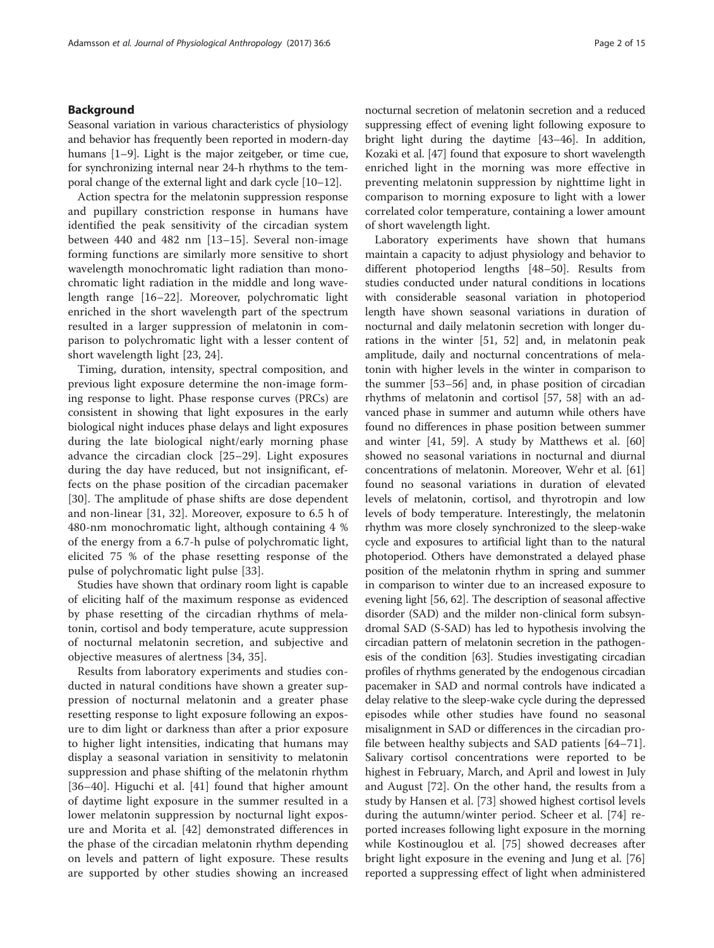### Background

Seasonal variation in various characteristics of physiology and behavior has frequently been reported in modern-day humans [[1](#page-12-0)–[9](#page-12-0)]. Light is the major zeitgeber, or time cue, for synchronizing internal near 24-h rhythms to the temporal change of the external light and dark cycle [[10](#page-12-0)–[12\]](#page-12-0).

Action spectra for the melatonin suppression response and pupillary constriction response in humans have identified the peak sensitivity of the circadian system between 440 and 482 nm [[13](#page-12-0)–[15\]](#page-12-0). Several non-image forming functions are similarly more sensitive to short wavelength monochromatic light radiation than monochromatic light radiation in the middle and long wavelength range [[16](#page-12-0)–[22\]](#page-13-0). Moreover, polychromatic light enriched in the short wavelength part of the spectrum resulted in a larger suppression of melatonin in comparison to polychromatic light with a lesser content of short wavelength light [[23, 24\]](#page-13-0).

Timing, duration, intensity, spectral composition, and previous light exposure determine the non-image forming response to light. Phase response curves (PRCs) are consistent in showing that light exposures in the early biological night induces phase delays and light exposures during the late biological night/early morning phase advance the circadian clock [\[25](#page-13-0)–[29](#page-13-0)]. Light exposures during the day have reduced, but not insignificant, effects on the phase position of the circadian pacemaker [[30\]](#page-13-0). The amplitude of phase shifts are dose dependent and non-linear [\[31](#page-13-0), [32](#page-13-0)]. Moreover, exposure to 6.5 h of 480-nm monochromatic light, although containing 4 % of the energy from a 6.7-h pulse of polychromatic light, elicited 75 % of the phase resetting response of the pulse of polychromatic light pulse [[33\]](#page-13-0).

Studies have shown that ordinary room light is capable of eliciting half of the maximum response as evidenced by phase resetting of the circadian rhythms of melatonin, cortisol and body temperature, acute suppression of nocturnal melatonin secretion, and subjective and objective measures of alertness [[34](#page-13-0), [35](#page-13-0)].

Results from laboratory experiments and studies conducted in natural conditions have shown a greater suppression of nocturnal melatonin and a greater phase resetting response to light exposure following an exposure to dim light or darkness than after a prior exposure to higher light intensities, indicating that humans may display a seasonal variation in sensitivity to melatonin suppression and phase shifting of the melatonin rhythm [[36](#page-13-0)–[40\]](#page-13-0). Higuchi et al. [\[41](#page-13-0)] found that higher amount of daytime light exposure in the summer resulted in a lower melatonin suppression by nocturnal light exposure and Morita et al. [[42\]](#page-13-0) demonstrated differences in the phase of the circadian melatonin rhythm depending on levels and pattern of light exposure. These results are supported by other studies showing an increased nocturnal secretion of melatonin secretion and a reduced suppressing effect of evening light following exposure to bright light during the daytime [\[43](#page-13-0)–[46](#page-13-0)]. In addition, Kozaki et al. [\[47\]](#page-13-0) found that exposure to short wavelength enriched light in the morning was more effective in preventing melatonin suppression by nighttime light in comparison to morning exposure to light with a lower correlated color temperature, containing a lower amount of short wavelength light.

Laboratory experiments have shown that humans maintain a capacity to adjust physiology and behavior to different photoperiod lengths [\[48](#page-13-0)–[50\]](#page-13-0). Results from studies conducted under natural conditions in locations with considerable seasonal variation in photoperiod length have shown seasonal variations in duration of nocturnal and daily melatonin secretion with longer durations in the winter [\[51, 52\]](#page-13-0) and, in melatonin peak amplitude, daily and nocturnal concentrations of melatonin with higher levels in the winter in comparison to the summer [[53](#page-13-0)–[56](#page-13-0)] and, in phase position of circadian rhythms of melatonin and cortisol [[57](#page-13-0), [58](#page-13-0)] with an advanced phase in summer and autumn while others have found no differences in phase position between summer and winter [\[41, 59](#page-13-0)]. A study by Matthews et al. [[60](#page-13-0)] showed no seasonal variations in nocturnal and diurnal concentrations of melatonin. Moreover, Wehr et al. [[61](#page-13-0)] found no seasonal variations in duration of elevated levels of melatonin, cortisol, and thyrotropin and low levels of body temperature. Interestingly, the melatonin rhythm was more closely synchronized to the sleep-wake cycle and exposures to artificial light than to the natural photoperiod. Others have demonstrated a delayed phase position of the melatonin rhythm in spring and summer in comparison to winter due to an increased exposure to evening light [[56](#page-13-0), [62\]](#page-13-0). The description of seasonal affective disorder (SAD) and the milder non-clinical form subsyndromal SAD (S-SAD) has led to hypothesis involving the circadian pattern of melatonin secretion in the pathogenesis of the condition [[63](#page-13-0)]. Studies investigating circadian profiles of rhythms generated by the endogenous circadian pacemaker in SAD and normal controls have indicated a delay relative to the sleep-wake cycle during the depressed episodes while other studies have found no seasonal misalignment in SAD or differences in the circadian profile between healthy subjects and SAD patients [\[64](#page-13-0)–[71](#page-14-0)]. Salivary cortisol concentrations were reported to be highest in February, March, and April and lowest in July and August [[72\]](#page-14-0). On the other hand, the results from a study by Hansen et al. [[73\]](#page-14-0) showed highest cortisol levels during the autumn/winter period. Scheer et al. [[74\]](#page-14-0) reported increases following light exposure in the morning while Kostinouglou et al. [[75\]](#page-14-0) showed decreases after bright light exposure in the evening and Jung et al. [\[76](#page-14-0)] reported a suppressing effect of light when administered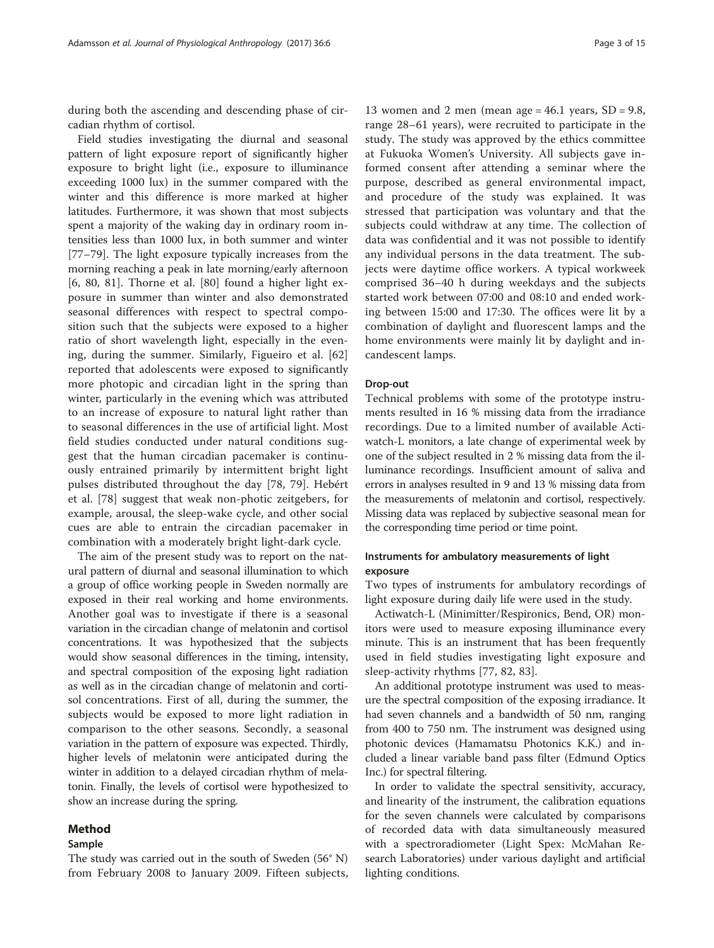during both the ascending and descending phase of circadian rhythm of cortisol.

Field studies investigating the diurnal and seasonal pattern of light exposure report of significantly higher exposure to bright light (i.e., exposure to illuminance exceeding 1000 lux) in the summer compared with the winter and this difference is more marked at higher latitudes. Furthermore, it was shown that most subjects spent a majority of the waking day in ordinary room intensities less than 1000 lux, in both summer and winter [[77](#page-14-0)–[79](#page-14-0)]. The light exposure typically increases from the morning reaching a peak in late morning/early afternoon [[6,](#page-12-0) [80](#page-14-0), [81](#page-14-0)]. Thorne et al. [\[80](#page-14-0)] found a higher light exposure in summer than winter and also demonstrated seasonal differences with respect to spectral composition such that the subjects were exposed to a higher ratio of short wavelength light, especially in the evening, during the summer. Similarly, Figueiro et al. [\[62](#page-13-0)] reported that adolescents were exposed to significantly more photopic and circadian light in the spring than winter, particularly in the evening which was attributed to an increase of exposure to natural light rather than to seasonal differences in the use of artificial light. Most field studies conducted under natural conditions suggest that the human circadian pacemaker is continuously entrained primarily by intermittent bright light pulses distributed throughout the day [[78, 79](#page-14-0)]. Hebért et al. [[78\]](#page-14-0) suggest that weak non-photic zeitgebers, for example, arousal, the sleep-wake cycle, and other social cues are able to entrain the circadian pacemaker in combination with a moderately bright light-dark cycle.

The aim of the present study was to report on the natural pattern of diurnal and seasonal illumination to which a group of office working people in Sweden normally are exposed in their real working and home environments. Another goal was to investigate if there is a seasonal variation in the circadian change of melatonin and cortisol concentrations. It was hypothesized that the subjects would show seasonal differences in the timing, intensity, and spectral composition of the exposing light radiation as well as in the circadian change of melatonin and cortisol concentrations. First of all, during the summer, the subjects would be exposed to more light radiation in comparison to the other seasons. Secondly, a seasonal variation in the pattern of exposure was expected. Thirdly, higher levels of melatonin were anticipated during the winter in addition to a delayed circadian rhythm of melatonin. Finally, the levels of cortisol were hypothesized to show an increase during the spring.

### Method

### Sample

The study was carried out in the south of Sweden (56° N) from February 2008 to January 2009. Fifteen subjects,

13 women and 2 men (mean age =  $46.1$  years, SD =  $9.8$ , range 28–61 years), were recruited to participate in the study. The study was approved by the ethics committee at Fukuoka Women's University. All subjects gave informed consent after attending a seminar where the purpose, described as general environmental impact, and procedure of the study was explained. It was stressed that participation was voluntary and that the subjects could withdraw at any time. The collection of data was confidential and it was not possible to identify any individual persons in the data treatment. The subjects were daytime office workers. A typical workweek comprised 36–40 h during weekdays and the subjects started work between 07:00 and 08:10 and ended working between 15:00 and 17:30. The offices were lit by a combination of daylight and fluorescent lamps and the home environments were mainly lit by daylight and incandescent lamps.

### Drop-out

Technical problems with some of the prototype instruments resulted in 16 % missing data from the irradiance recordings. Due to a limited number of available Actiwatch-L monitors, a late change of experimental week by one of the subject resulted in 2 % missing data from the illuminance recordings. Insufficient amount of saliva and errors in analyses resulted in 9 and 13 % missing data from the measurements of melatonin and cortisol, respectively. Missing data was replaced by subjective seasonal mean for the corresponding time period or time point.

### Instruments for ambulatory measurements of light exposure

Two types of instruments for ambulatory recordings of light exposure during daily life were used in the study.

Actiwatch-L (Minimitter/Respironics, Bend, OR) monitors were used to measure exposing illuminance every minute. This is an instrument that has been frequently used in field studies investigating light exposure and sleep-activity rhythms [[77, 82, 83](#page-14-0)].

An additional prototype instrument was used to measure the spectral composition of the exposing irradiance. It had seven channels and a bandwidth of 50 nm, ranging from 400 to 750 nm. The instrument was designed using photonic devices (Hamamatsu Photonics K.K.) and included a linear variable band pass filter (Edmund Optics Inc.) for spectral filtering.

In order to validate the spectral sensitivity, accuracy, and linearity of the instrument, the calibration equations for the seven channels were calculated by comparisons of recorded data with data simultaneously measured with a spectroradiometer (Light Spex: McMahan Research Laboratories) under various daylight and artificial lighting conditions.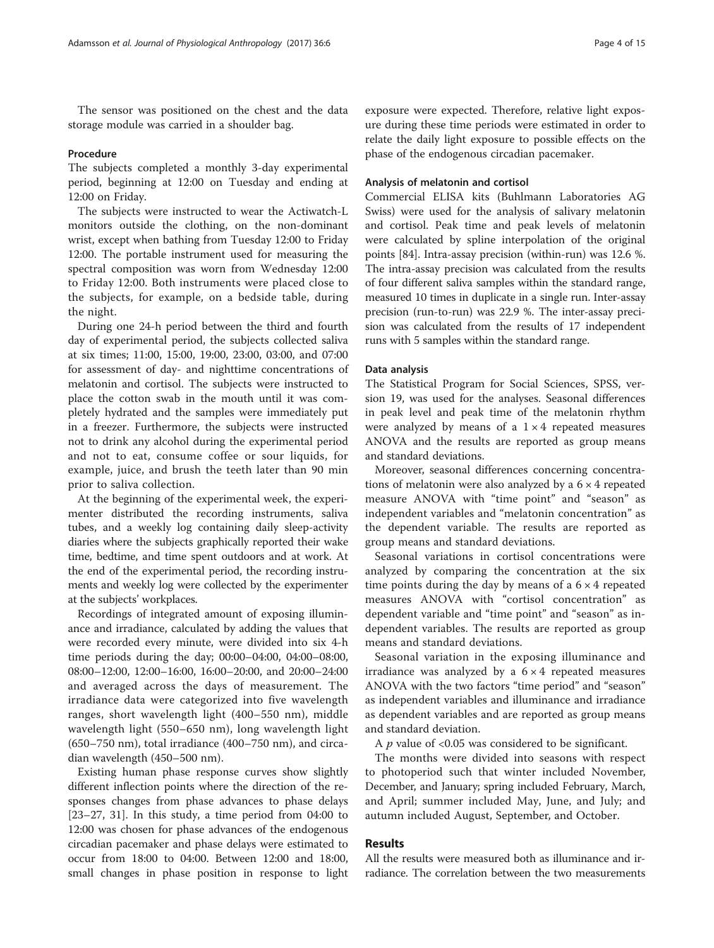The sensor was positioned on the chest and the data storage module was carried in a shoulder bag.

#### Procedure

The subjects completed a monthly 3-day experimental period, beginning at 12:00 on Tuesday and ending at 12:00 on Friday.

The subjects were instructed to wear the Actiwatch-L monitors outside the clothing, on the non-dominant wrist, except when bathing from Tuesday 12:00 to Friday 12:00. The portable instrument used for measuring the spectral composition was worn from Wednesday 12:00 to Friday 12:00. Both instruments were placed close to the subjects, for example, on a bedside table, during the night.

During one 24-h period between the third and fourth day of experimental period, the subjects collected saliva at six times; 11:00, 15:00, 19:00, 23:00, 03:00, and 07:00 for assessment of day- and nighttime concentrations of melatonin and cortisol. The subjects were instructed to place the cotton swab in the mouth until it was completely hydrated and the samples were immediately put in a freezer. Furthermore, the subjects were instructed not to drink any alcohol during the experimental period and not to eat, consume coffee or sour liquids, for example, juice, and brush the teeth later than 90 min prior to saliva collection.

At the beginning of the experimental week, the experimenter distributed the recording instruments, saliva tubes, and a weekly log containing daily sleep-activity diaries where the subjects graphically reported their wake time, bedtime, and time spent outdoors and at work. At the end of the experimental period, the recording instruments and weekly log were collected by the experimenter at the subjects' workplaces.

Recordings of integrated amount of exposing illuminance and irradiance, calculated by adding the values that were recorded every minute, were divided into six 4-h time periods during the day; 00:00–04:00, 04:00–08:00, 08:00–12:00, 12:00–16:00, 16:00–20:00, and 20:00–24:00 and averaged across the days of measurement. The irradiance data were categorized into five wavelength ranges, short wavelength light (400–550 nm), middle wavelength light (550–650 nm), long wavelength light (650–750 nm), total irradiance (400–750 nm), and circadian wavelength (450–500 nm).

Existing human phase response curves show slightly different inflection points where the direction of the responses changes from phase advances to phase delays [[23](#page-13-0)–[27](#page-13-0), [31\]](#page-13-0). In this study, a time period from 04:00 to 12:00 was chosen for phase advances of the endogenous circadian pacemaker and phase delays were estimated to occur from 18:00 to 04:00. Between 12:00 and 18:00, small changes in phase position in response to light

exposure were expected. Therefore, relative light exposure during these time periods were estimated in order to relate the daily light exposure to possible effects on the phase of the endogenous circadian pacemaker.

### Analysis of melatonin and cortisol

Commercial ELISA kits (Buhlmann Laboratories AG Swiss) were used for the analysis of salivary melatonin and cortisol. Peak time and peak levels of melatonin were calculated by spline interpolation of the original points [[84](#page-14-0)]. Intra-assay precision (within-run) was 12.6 %. The intra-assay precision was calculated from the results of four different saliva samples within the standard range, measured 10 times in duplicate in a single run. Inter-assay precision (run-to-run) was 22.9 %. The inter-assay precision was calculated from the results of 17 independent runs with 5 samples within the standard range.

### Data analysis

The Statistical Program for Social Sciences, SPSS, version 19, was used for the analyses. Seasonal differences in peak level and peak time of the melatonin rhythm were analyzed by means of a  $1 \times 4$  repeated measures ANOVA and the results are reported as group means and standard deviations.

Moreover, seasonal differences concerning concentrations of melatonin were also analyzed by a  $6 \times 4$  repeated measure ANOVA with "time point" and "season" as independent variables and "melatonin concentration" as the dependent variable. The results are reported as group means and standard deviations.

Seasonal variations in cortisol concentrations were analyzed by comparing the concentration at the six time points during the day by means of a  $6 \times 4$  repeated measures ANOVA with "cortisol concentration" as dependent variable and "time point" and "season" as independent variables. The results are reported as group means and standard deviations.

Seasonal variation in the exposing illuminance and irradiance was analyzed by a  $6 \times 4$  repeated measures ANOVA with the two factors "time period" and "season" as independent variables and illuminance and irradiance as dependent variables and are reported as group means and standard deviation.

A  $p$  value of <0.05 was considered to be significant.

The months were divided into seasons with respect to photoperiod such that winter included November, December, and January; spring included February, March, and April; summer included May, June, and July; and autumn included August, September, and October.

### Results

All the results were measured both as illuminance and irradiance. The correlation between the two measurements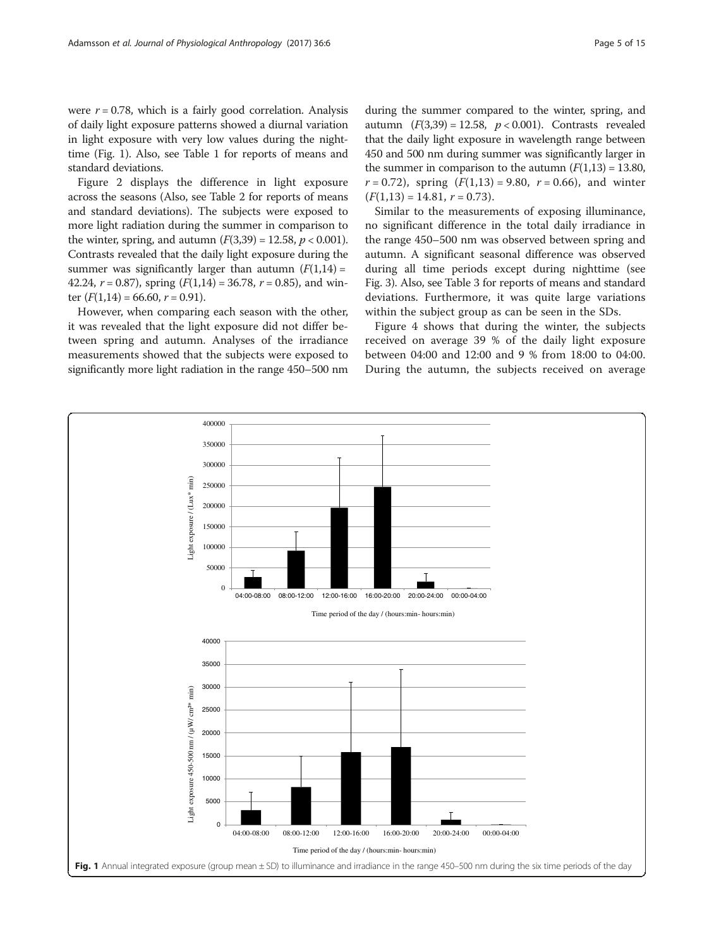were  $r = 0.78$ , which is a fairly good correlation. Analysis of daily light exposure patterns showed a diurnal variation in light exposure with very low values during the nighttime (Fig. 1). Also, see Table [1](#page-5-0) for reports of means and standard deviations.

Figure [2](#page-5-0) displays the difference in light exposure across the seasons (Also, see Table [2](#page-6-0) for reports of means and standard deviations). The subjects were exposed to more light radiation during the summer in comparison to the winter, spring, and autumn  $(F(3,39) = 12.58, p < 0.001)$ . Contrasts revealed that the daily light exposure during the summer was significantly larger than autumn  $(F(1,14))$  = 42.24,  $r = 0.87$ , spring  $(F(1, 14) = 36.78, r = 0.85)$ , and winter  $(F(1,14) = 66.60, r = 0.91)$ .

However, when comparing each season with the other, it was revealed that the light exposure did not differ between spring and autumn. Analyses of the irradiance measurements showed that the subjects were exposed to significantly more light radiation in the range 450–500 nm during the summer compared to the winter, spring, and autumn  $(F(3,39) = 12.58, p < 0.001)$ . Contrasts revealed that the daily light exposure in wavelength range between 450 and 500 nm during summer was significantly larger in the summer in comparison to the autumn  $(F(1,13) = 13.80)$ ,  $r = 0.72$ ), spring  $(F(1,13) = 9.80, r = 0.66)$ , and winter  $(F(1,13) = 14.81, r = 0.73).$ 

Similar to the measurements of exposing illuminance, no significant difference in the total daily irradiance in the range 450–500 nm was observed between spring and autumn. A significant seasonal difference was observed during all time periods except during nighttime (see Fig. [3](#page-6-0)). Also, see Table [3](#page-7-0) for reports of means and standard deviations. Furthermore, it was quite large variations within the subject group as can be seen in the SDs.

Figure [4](#page-7-0) shows that during the winter, the subjects received on average 39 % of the daily light exposure between 04:00 and 12:00 and 9 % from 18:00 to 04:00. During the autumn, the subjects received on average

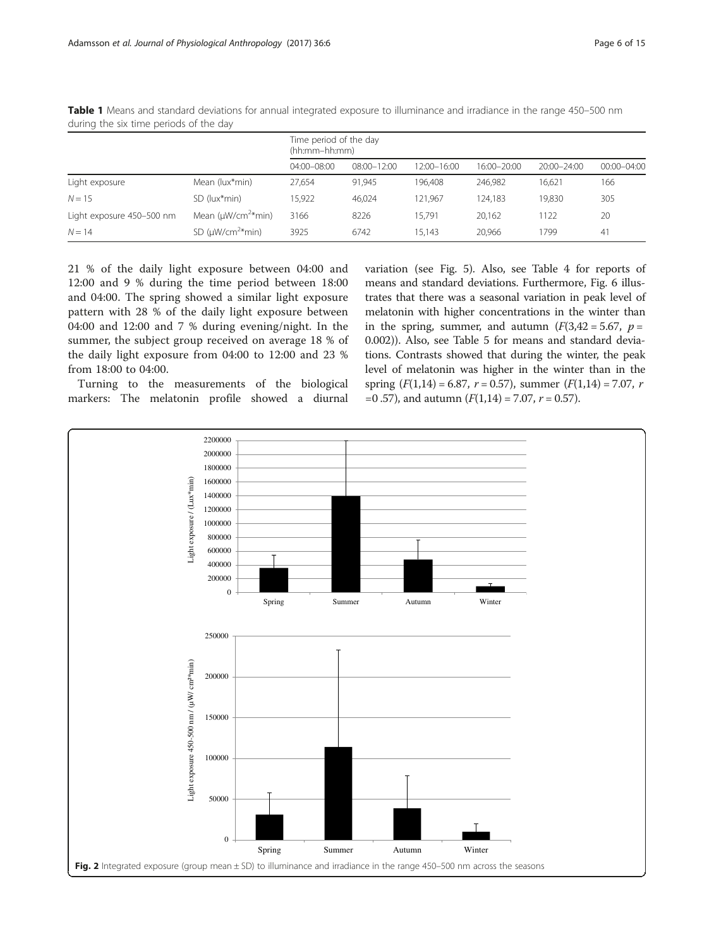|                           |                                      | Time period of the day<br>$(hh:mm-hh:mm)$ |                 |                 |                 |                 |                 |  |  |
|---------------------------|--------------------------------------|-------------------------------------------|-----------------|-----------------|-----------------|-----------------|-----------------|--|--|
|                           |                                      | $04:00 - 08:00$                           | $08:00 - 12:00$ | $12:00 - 16:00$ | $16:00 - 20:00$ | $20:00 - 24:00$ | $00:00 - 04:00$ |  |  |
| Light exposure            | Mean (lux*min)                       | 27.654                                    | 91.945          | 196.408         | 246.982         | 16.621          | 166             |  |  |
| $N = 15$                  | SD (lux*min)                         | 15.922                                    | 46.024          | 121.967         | 124.183         | 19.830          | 305             |  |  |
| Light exposure 450-500 nm | Mean ( $\mu$ W/cm <sup>2*</sup> min) | 3166                                      | 8226            | 15.791          | 20.162          | 1122            | 20              |  |  |
| $N = 14$                  | SD ( $\mu$ W/cm <sup>2*</sup> min)   | 3925                                      | 6742            | 15.143          | 20.966          | 1799            | 41              |  |  |

<span id="page-5-0"></span>Table 1 Means and standard deviations for annual integrated exposure to illuminance and irradiance in the range 450–500 nm during the six time periods of the day

21 % of the daily light exposure between 04:00 and 12:00 and 9 % during the time period between 18:00 and 04:00. The spring showed a similar light exposure pattern with 28 % of the daily light exposure between 04:00 and 12:00 and 7 % during evening/night. In the summer, the subject group received on average 18 % of the daily light exposure from 04:00 to 12:00 and 23 % from 18:00 to 04:00.

Turning to the measurements of the biological markers: The melatonin profile showed a diurnal variation (see Fig. [5](#page-8-0)). Also, see Table [4](#page-8-0) for reports of means and standard deviations. Furthermore, Fig. [6](#page-9-0) illustrates that there was a seasonal variation in peak level of melatonin with higher concentrations in the winter than in the spring, summer, and autumn ( $F(3,42 = 5.67, p =$ 0.002)). Also, see Table [5](#page-9-0) for means and standard deviations. Contrasts showed that during the winter, the peak level of melatonin was higher in the winter than in the spring  $(F(1,14) = 6.87, r = 0.57)$ , summer  $(F(1,14) = 7.07, r$  $=0.57$ ), and autumn  $(F(1,14) = 7.07, r = 0.57)$ .

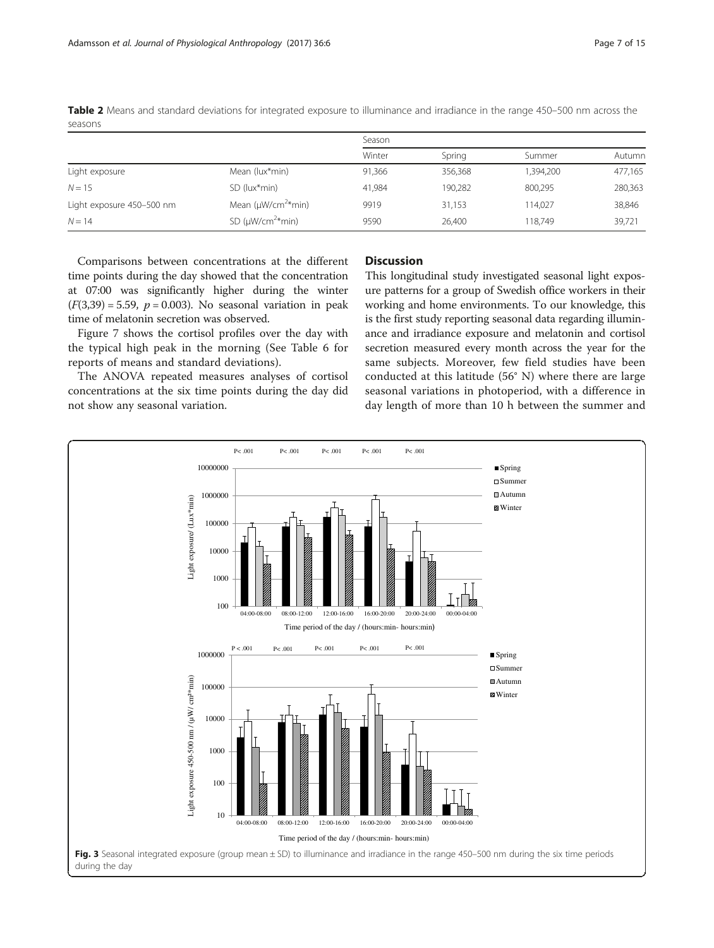|                           |                                      | Season |         |           |         |  |  |
|---------------------------|--------------------------------------|--------|---------|-----------|---------|--|--|
|                           |                                      | Winter | Spring  | Summer    | Autumn  |  |  |
| Light exposure            | Mean (lux*min)                       | 91,366 | 356,368 | 1,394,200 | 477,165 |  |  |
| $N = 15$                  | SD (lux*min)                         | 41,984 | 190,282 | 800,295   | 280,363 |  |  |
| Light exposure 450-500 nm | Mean ( $\mu$ W/cm <sup>2*</sup> min) | 9919   | 31,153  | 114,027   | 38,846  |  |  |
| $N = 14$                  | SD ( $\mu$ W/cm <sup>2*</sup> min)   | 9590   | 26,400  | 118.749   | 39,721  |  |  |

<span id="page-6-0"></span>Table 2 Means and standard deviations for integrated exposure to illuminance and irradiance in the range 450–500 nm across the seasons

Comparisons between concentrations at the different time points during the day showed that the concentration at 07:00 was significantly higher during the winter  $(F(3,39) = 5.59, p = 0.003)$ . No seasonal variation in peak time of melatonin secretion was observed.

Figure [7](#page-10-0) shows the cortisol profiles over the day with the typical high peak in the morning (See Table [6](#page-10-0) for reports of means and standard deviations).

The ANOVA repeated measures analyses of cortisol concentrations at the six time points during the day did not show any seasonal variation.

### **Discussion**

This longitudinal study investigated seasonal light exposure patterns for a group of Swedish office workers in their working and home environments. To our knowledge, this is the first study reporting seasonal data regarding illuminance and irradiance exposure and melatonin and cortisol secretion measured every month across the year for the same subjects. Moreover, few field studies have been conducted at this latitude (56° N) where there are large seasonal variations in photoperiod, with a difference in day length of more than 10 h between the summer and

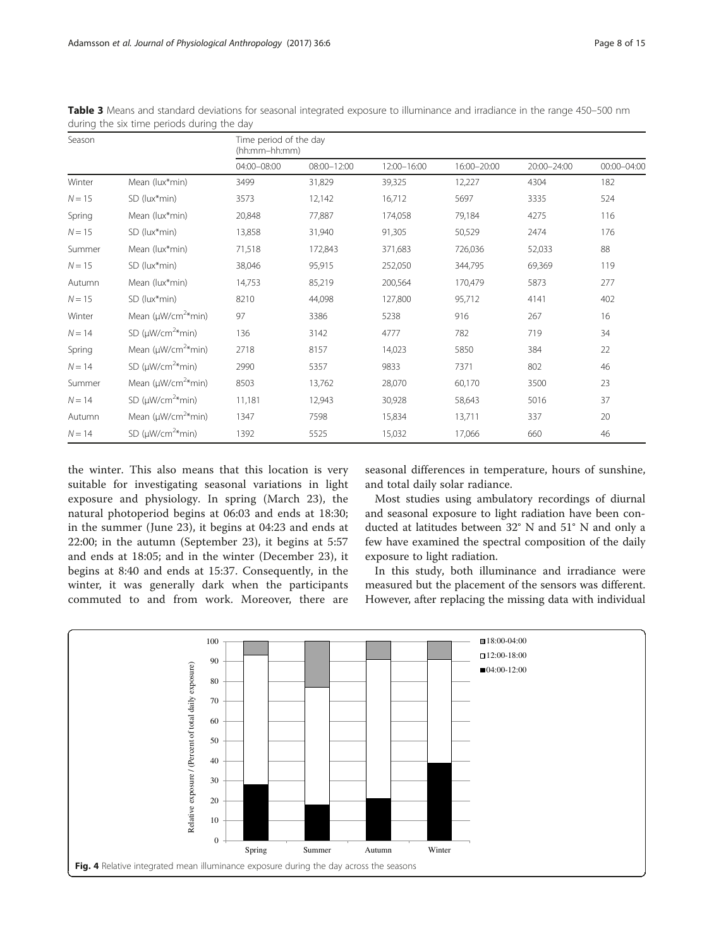| Season   |                                      | Time period of the day<br>(hh:mm-hh:mm) |             |             |             |             |             |  |
|----------|--------------------------------------|-----------------------------------------|-------------|-------------|-------------|-------------|-------------|--|
|          |                                      | 04:00-08:00                             | 08:00-12:00 | 12:00-16:00 | 16:00-20:00 | 20:00-24:00 | 00:00-04:00 |  |
| Winter   | Mean (lux*min)                       | 3499                                    | 31,829      | 39,325      | 12,227      | 4304        | 182         |  |
| $N = 15$ | SD (lux*min)                         | 3573                                    | 12,142      | 16,712      | 5697        | 3335        | 524         |  |
| Spring   | Mean (lux*min)                       | 20,848                                  | 77,887      | 174,058     | 79,184      | 4275        | 116         |  |
| $N = 15$ | SD (lux*min)                         | 13,858                                  | 31,940      | 91,305      | 50,529      | 2474        | 176         |  |
| Summer   | Mean (lux*min)                       | 71,518                                  | 172,843     | 371,683     | 726,036     | 52,033      | 88          |  |
| $N = 15$ | SD (lux*min)                         | 38,046                                  | 95,915      | 252,050     | 344,795     | 69,369      | 119         |  |
| Autumn   | Mean (lux*min)                       | 14,753                                  | 85,219      | 200,564     | 170.479     | 5873        | 277         |  |
| $N = 15$ | SD (lux*min)                         | 8210                                    | 44,098      | 127,800     | 95,712      | 4141        | 402         |  |
| Winter   | Mean ( $\mu$ W/cm <sup>2*</sup> min) | 97                                      | 3386        | 5238        | 916         | 267         | 16          |  |
| $N = 14$ | SD ( $\mu$ W/cm <sup>2*</sup> min)   | 136                                     | 3142        | 4777        | 782         | 719         | 34          |  |
| Spring   | Mean ( $\mu$ W/cm <sup>2*</sup> min) | 2718                                    | 8157        | 14,023      | 5850        | 384         | 22          |  |
| $N = 14$ | SD ( $\mu$ W/cm <sup>2*</sup> min)   | 2990                                    | 5357        | 9833        | 7371        | 802         | 46          |  |
| Summer   | Mean ( $\mu$ W/cm <sup>2*</sup> min) | 8503                                    | 13,762      | 28,070      | 60,170      | 3500        | 23          |  |
| $N = 14$ | SD ( $\mu$ W/cm <sup>2*</sup> min)   | 11,181                                  | 12,943      | 30,928      | 58,643      | 5016        | 37          |  |
| Autumn   | Mean ( $\mu$ W/cm <sup>2*</sup> min) | 1347                                    | 7598        | 15,834      | 13,711      | 337         | 20          |  |
| $N = 14$ | SD ( $\mu$ W/cm <sup>2*</sup> min)   | 1392                                    | 5525        | 15,032      | 17,066      | 660         | 46          |  |

<span id="page-7-0"></span>Table 3 Means and standard deviations for seasonal integrated exposure to illuminance and irradiance in the range 450–500 nm during the six time periods during the day

the winter. This also means that this location is very suitable for investigating seasonal variations in light exposure and physiology. In spring (March 23), the natural photoperiod begins at 06:03 and ends at 18:30; in the summer (June 23), it begins at 04:23 and ends at 22:00; in the autumn (September 23), it begins at 5:57 and ends at 18:05; and in the winter (December 23), it begins at 8:40 and ends at 15:37. Consequently, in the winter, it was generally dark when the participants commuted to and from work. Moreover, there are

seasonal differences in temperature, hours of sunshine, and total daily solar radiance.

Most studies using ambulatory recordings of diurnal and seasonal exposure to light radiation have been conducted at latitudes between 32° N and 51° N and only a few have examined the spectral composition of the daily exposure to light radiation.

In this study, both illuminance and irradiance were measured but the placement of the sensors was different. However, after replacing the missing data with individual

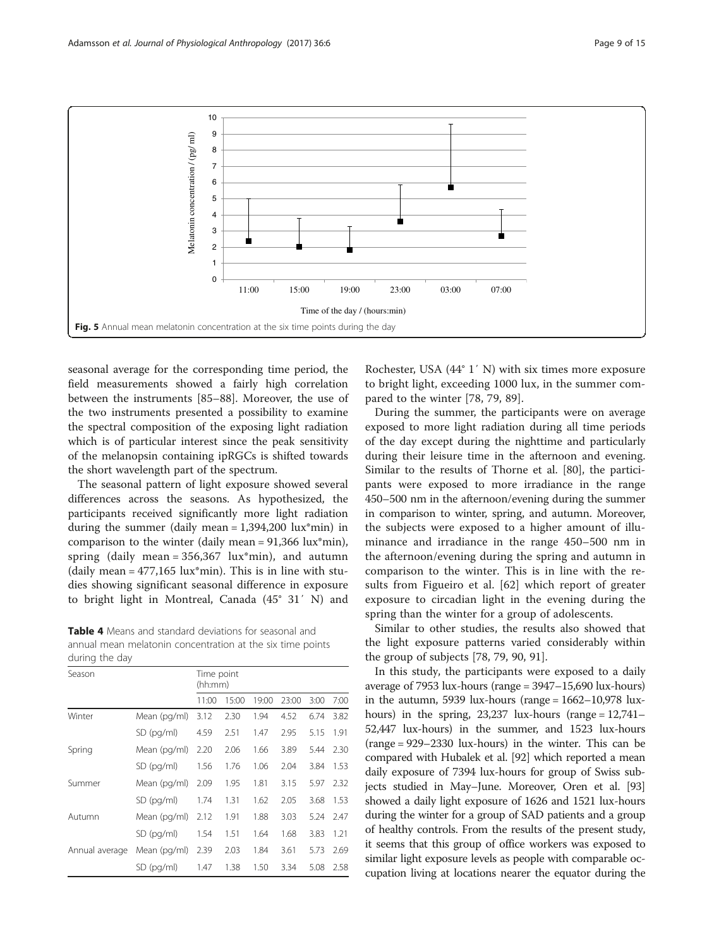<span id="page-8-0"></span>

seasonal average for the corresponding time period, the field measurements showed a fairly high correlation between the instruments [[85](#page-14-0)–[88](#page-14-0)]. Moreover, the use of the two instruments presented a possibility to examine the spectral composition of the exposing light radiation which is of particular interest since the peak sensitivity of the melanopsin containing ipRGCs is shifted towards the short wavelength part of the spectrum.

The seasonal pattern of light exposure showed several differences across the seasons. As hypothesized, the participants received significantly more light radiation during the summer (daily mean =  $1,394,200$  lux\*min) in comparison to the winter (daily mean = 91,366 lux\*min), spring (daily mean = 356,367 lux\*min), and autumn (daily mean  $= 477,165$  lux\*min). This is in line with studies showing significant seasonal difference in exposure to bright light in Montreal, Canada (45° 31′ N) and

Table 4 Means and standard deviations for seasonal and annual mean melatonin concentration at the six time points during the day

| Season         |              | Time point<br>(hh:mm) |       |       |       |      |      |  |
|----------------|--------------|-----------------------|-------|-------|-------|------|------|--|
|                |              | 11:00                 | 15:00 | 19:00 | 23:00 | 3:00 | 7:00 |  |
| Winter         | Mean (pg/ml) | 3.12                  | 2.30  | 1.94  | 4.52  | 6.74 | 3.82 |  |
|                | SD (pg/ml)   | 4.59                  | 2.51  | 1.47  | 2.95  | 5.15 | 1.91 |  |
| Spring         | Mean (pg/ml) | 2.20                  | 2.06  | 1.66  | 3.89  | 5.44 | 2.30 |  |
|                | SD (pg/ml)   | 1.56                  | 1.76  | 1.06  | 2.04  | 3.84 | 1.53 |  |
| Summer         | Mean (pg/ml) | 2.09                  | 1.95  | 1.81  | 3.15  | 5.97 | 2.32 |  |
|                | SD (pq/ml)   | 1.74                  | 1.31  | 1.62  | 2.05  | 3.68 | 1.53 |  |
| Autumn         | Mean (pg/ml) | 2.12                  | 1.91  | 1.88  | 3.03  | 5.24 | 2.47 |  |
|                | SD (pq/ml)   | 1.54                  | 1.51  | 1.64  | 1.68  | 3.83 | 1.21 |  |
| Annual average | Mean (pg/ml) | 2.39                  | 2.03  | 1.84  | 3.61  | 5.73 | 2.69 |  |
|                | SD (pg/ml)   | 1.47                  | 1.38  | 1.50  | 3.34  | 5.08 | 2.58 |  |

Rochester, USA (44° 1′ N) with six times more exposure to bright light, exceeding 1000 lux, in the summer compared to the winter [\[78](#page-14-0), [79, 89\]](#page-14-0).

During the summer, the participants were on average exposed to more light radiation during all time periods of the day except during the nighttime and particularly during their leisure time in the afternoon and evening. Similar to the results of Thorne et al. [[80\]](#page-14-0), the participants were exposed to more irradiance in the range 450–500 nm in the afternoon/evening during the summer in comparison to winter, spring, and autumn. Moreover, the subjects were exposed to a higher amount of illuminance and irradiance in the range 450–500 nm in the afternoon/evening during the spring and autumn in comparison to the winter. This is in line with the results from Figueiro et al. [\[62](#page-13-0)] which report of greater exposure to circadian light in the evening during the spring than the winter for a group of adolescents.

Similar to other studies, the results also showed that the light exposure patterns varied considerably within the group of subjects [\[78, 79, 90, 91\]](#page-14-0).

In this study, the participants were exposed to a daily average of 7953 lux-hours (range = 3947–15,690 lux-hours) in the autumn, 5939 lux-hours (range =  $1662-10,978$  luxhours) in the spring,  $23,237$  lux-hours (range =  $12,741-$ 52,447 lux-hours) in the summer, and 1523 lux-hours (range = 929–2330 lux-hours) in the winter. This can be compared with Hubalek et al. [[92](#page-14-0)] which reported a mean daily exposure of 7394 lux-hours for group of Swiss subjects studied in May–June. Moreover, Oren et al. [\[93](#page-14-0)] showed a daily light exposure of 1626 and 1521 lux-hours during the winter for a group of SAD patients and a group of healthy controls. From the results of the present study, it seems that this group of office workers was exposed to similar light exposure levels as people with comparable occupation living at locations nearer the equator during the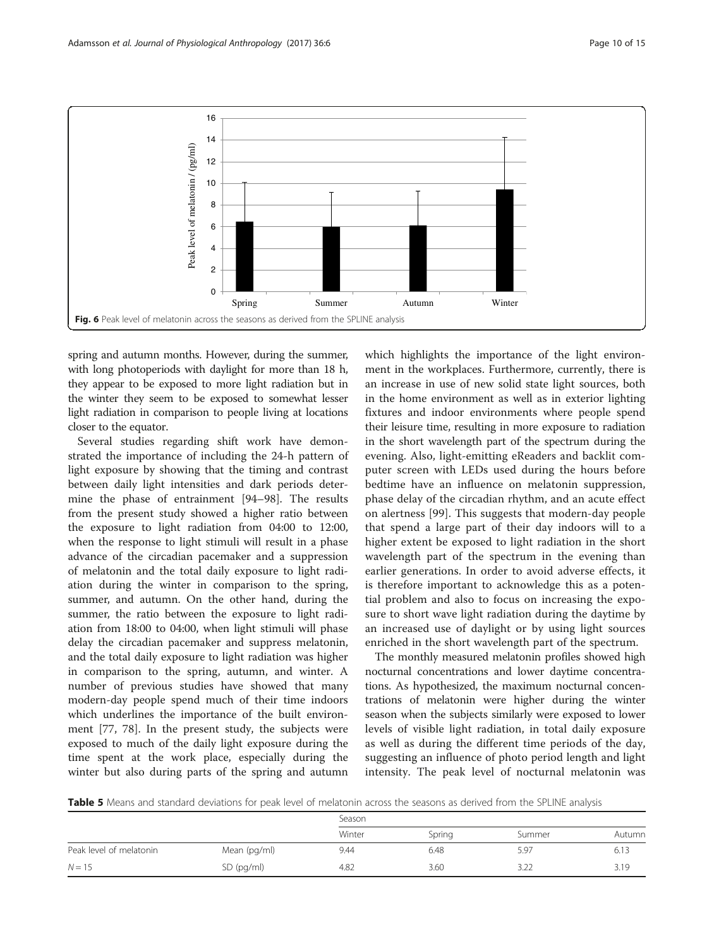<span id="page-9-0"></span>

spring and autumn months. However, during the summer, with long photoperiods with daylight for more than 18 h, they appear to be exposed to more light radiation but in the winter they seem to be exposed to somewhat lesser light radiation in comparison to people living at locations closer to the equator.

Several studies regarding shift work have demonstrated the importance of including the 24-h pattern of light exposure by showing that the timing and contrast between daily light intensities and dark periods determine the phase of entrainment [[94](#page-14-0)–[98](#page-14-0)]. The results from the present study showed a higher ratio between the exposure to light radiation from 04:00 to 12:00, when the response to light stimuli will result in a phase advance of the circadian pacemaker and a suppression of melatonin and the total daily exposure to light radiation during the winter in comparison to the spring, summer, and autumn. On the other hand, during the summer, the ratio between the exposure to light radiation from 18:00 to 04:00, when light stimuli will phase delay the circadian pacemaker and suppress melatonin, and the total daily exposure to light radiation was higher in comparison to the spring, autumn, and winter. A number of previous studies have showed that many modern-day people spend much of their time indoors which underlines the importance of the built environment [[77](#page-14-0), [78](#page-14-0)]. In the present study, the subjects were exposed to much of the daily light exposure during the time spent at the work place, especially during the winter but also during parts of the spring and autumn

which highlights the importance of the light environment in the workplaces. Furthermore, currently, there is an increase in use of new solid state light sources, both in the home environment as well as in exterior lighting fixtures and indoor environments where people spend their leisure time, resulting in more exposure to radiation in the short wavelength part of the spectrum during the evening. Also, light-emitting eReaders and backlit computer screen with LEDs used during the hours before bedtime have an influence on melatonin suppression, phase delay of the circadian rhythm, and an acute effect on alertness [[99](#page-14-0)]. This suggests that modern-day people that spend a large part of their day indoors will to a higher extent be exposed to light radiation in the short wavelength part of the spectrum in the evening than earlier generations. In order to avoid adverse effects, it is therefore important to acknowledge this as a potential problem and also to focus on increasing the exposure to short wave light radiation during the daytime by an increased use of daylight or by using light sources enriched in the short wavelength part of the spectrum.

The monthly measured melatonin profiles showed high nocturnal concentrations and lower daytime concentrations. As hypothesized, the maximum nocturnal concentrations of melatonin were higher during the winter season when the subjects similarly were exposed to lower levels of visible light radiation, in total daily exposure as well as during the different time periods of the day, suggesting an influence of photo period length and light intensity. The peak level of nocturnal melatonin was

Table 5 Means and standard deviations for peak level of melatonin across the seasons as derived from the SPLINE analysis

|                         |              | Season |        |        |        |  |  |  |
|-------------------------|--------------|--------|--------|--------|--------|--|--|--|
|                         |              | Winter | Spring | Summer | Autumn |  |  |  |
| Peak level of melatonin | Mean (pg/ml) | 9.44   | 6.48   | 5.97   | 6.13   |  |  |  |
| $N = 15$                | SD (pg/ml)   | 4.82   | 3.60   | 3.22   | 3.19   |  |  |  |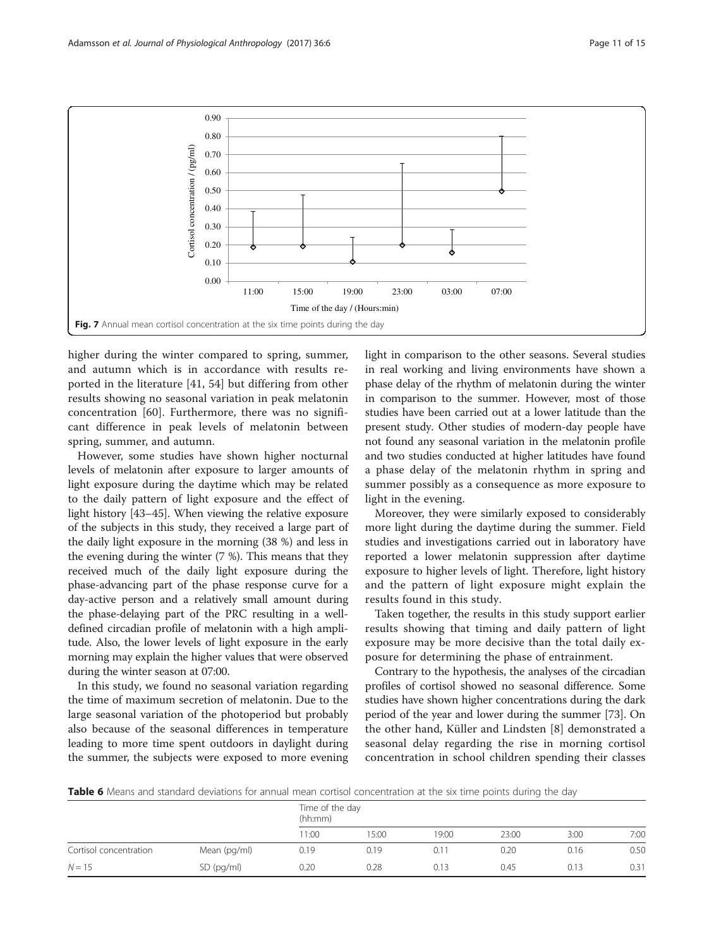<span id="page-10-0"></span>

higher during the winter compared to spring, summer, and autumn which is in accordance with results reported in the literature [[41, 54](#page-13-0)] but differing from other results showing no seasonal variation in peak melatonin concentration [[60](#page-13-0)]. Furthermore, there was no significant difference in peak levels of melatonin between spring, summer, and autumn.

However, some studies have shown higher nocturnal levels of melatonin after exposure to larger amounts of light exposure during the daytime which may be related to the daily pattern of light exposure and the effect of light history [\[43](#page-13-0)–[45\]](#page-13-0). When viewing the relative exposure of the subjects in this study, they received a large part of the daily light exposure in the morning (38 %) and less in the evening during the winter (7 %). This means that they received much of the daily light exposure during the phase-advancing part of the phase response curve for a day-active person and a relatively small amount during the phase-delaying part of the PRC resulting in a welldefined circadian profile of melatonin with a high amplitude. Also, the lower levels of light exposure in the early morning may explain the higher values that were observed during the winter season at 07:00.

In this study, we found no seasonal variation regarding the time of maximum secretion of melatonin. Due to the large seasonal variation of the photoperiod but probably also because of the seasonal differences in temperature leading to more time spent outdoors in daylight during the summer, the subjects were exposed to more evening light in comparison to the other seasons. Several studies in real working and living environments have shown a phase delay of the rhythm of melatonin during the winter in comparison to the summer. However, most of those studies have been carried out at a lower latitude than the present study. Other studies of modern-day people have not found any seasonal variation in the melatonin profile and two studies conducted at higher latitudes have found a phase delay of the melatonin rhythm in spring and summer possibly as a consequence as more exposure to light in the evening.

Moreover, they were similarly exposed to considerably more light during the daytime during the summer. Field studies and investigations carried out in laboratory have reported a lower melatonin suppression after daytime exposure to higher levels of light. Therefore, light history and the pattern of light exposure might explain the results found in this study.

Taken together, the results in this study support earlier results showing that timing and daily pattern of light exposure may be more decisive than the total daily exposure for determining the phase of entrainment.

Contrary to the hypothesis, the analyses of the circadian profiles of cortisol showed no seasonal difference. Some studies have shown higher concentrations during the dark period of the year and lower during the summer [[73](#page-14-0)]. On the other hand, Küller and Lindsten [\[8](#page-12-0)] demonstrated a seasonal delay regarding the rise in morning cortisol concentration in school children spending their classes

Table 6 Means and standard deviations for annual mean cortisol concentration at the six time points during the day

|                        |              | (hh:mm) | Time of the day |       |       |      |      |  |  |
|------------------------|--------------|---------|-----------------|-------|-------|------|------|--|--|
|                        |              | 11:00   | 15:00           | 19:00 | 23:00 | 3:00 | 7:00 |  |  |
| Cortisol concentration | Mean (pg/ml) | 0.19    | 0.19            | 0.11  | 0.20  | 0.16 | 0.50 |  |  |
| SD (pq/ml)<br>$N = 15$ |              | 0.20    | 0.28            | 0.13  | 0.45  | 0.13 | 0.31 |  |  |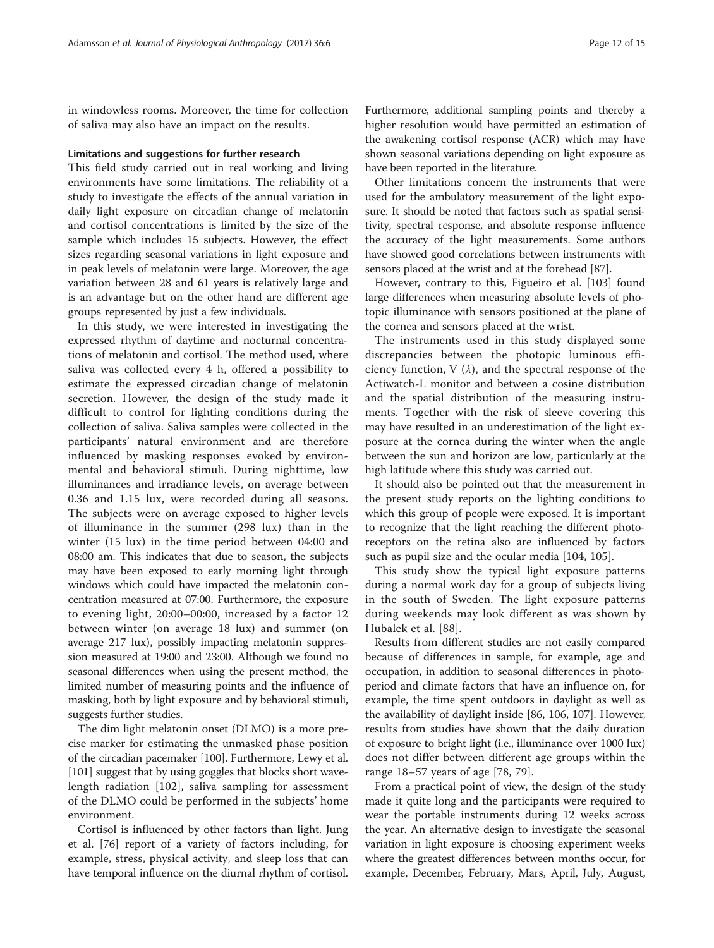in windowless rooms. Moreover, the time for collection of saliva may also have an impact on the results.

#### Limitations and suggestions for further research

This field study carried out in real working and living environments have some limitations. The reliability of a study to investigate the effects of the annual variation in daily light exposure on circadian change of melatonin and cortisol concentrations is limited by the size of the sample which includes 15 subjects. However, the effect sizes regarding seasonal variations in light exposure and in peak levels of melatonin were large. Moreover, the age variation between 28 and 61 years is relatively large and is an advantage but on the other hand are different age groups represented by just a few individuals.

In this study, we were interested in investigating the expressed rhythm of daytime and nocturnal concentrations of melatonin and cortisol. The method used, where saliva was collected every 4 h, offered a possibility to estimate the expressed circadian change of melatonin secretion. However, the design of the study made it difficult to control for lighting conditions during the collection of saliva. Saliva samples were collected in the participants' natural environment and are therefore influenced by masking responses evoked by environmental and behavioral stimuli. During nighttime, low illuminances and irradiance levels, on average between 0.36 and 1.15 lux, were recorded during all seasons. The subjects were on average exposed to higher levels of illuminance in the summer (298 lux) than in the winter (15 lux) in the time period between 04:00 and 08:00 am. This indicates that due to season, the subjects may have been exposed to early morning light through windows which could have impacted the melatonin concentration measured at 07:00. Furthermore, the exposure to evening light, 20:00–00:00, increased by a factor 12 between winter (on average 18 lux) and summer (on average 217 lux), possibly impacting melatonin suppression measured at 19:00 and 23:00. Although we found no seasonal differences when using the present method, the limited number of measuring points and the influence of masking, both by light exposure and by behavioral stimuli, suggests further studies.

The dim light melatonin onset (DLMO) is a more precise marker for estimating the unmasked phase position of the circadian pacemaker [\[100\]](#page-14-0). Furthermore, Lewy et al. [[101](#page-14-0)] suggest that by using goggles that blocks short wavelength radiation [[102\]](#page-14-0), saliva sampling for assessment of the DLMO could be performed in the subjects' home environment.

Cortisol is influenced by other factors than light. Jung et al. [\[76](#page-14-0)] report of a variety of factors including, for example, stress, physical activity, and sleep loss that can have temporal influence on the diurnal rhythm of cortisol.

Furthermore, additional sampling points and thereby a higher resolution would have permitted an estimation of the awakening cortisol response (ACR) which may have shown seasonal variations depending on light exposure as have been reported in the literature.

Other limitations concern the instruments that were used for the ambulatory measurement of the light exposure. It should be noted that factors such as spatial sensitivity, spectral response, and absolute response influence the accuracy of the light measurements. Some authors have showed good correlations between instruments with sensors placed at the wrist and at the forehead [[87](#page-14-0)].

However, contrary to this, Figueiro et al. [[103](#page-14-0)] found large differences when measuring absolute levels of photopic illuminance with sensors positioned at the plane of the cornea and sensors placed at the wrist.

The instruments used in this study displayed some discrepancies between the photopic luminous efficiency function,  $V(\lambda)$ , and the spectral response of the Actiwatch-L monitor and between a cosine distribution and the spatial distribution of the measuring instruments. Together with the risk of sleeve covering this may have resulted in an underestimation of the light exposure at the cornea during the winter when the angle between the sun and horizon are low, particularly at the high latitude where this study was carried out.

It should also be pointed out that the measurement in the present study reports on the lighting conditions to which this group of people were exposed. It is important to recognize that the light reaching the different photoreceptors on the retina also are influenced by factors such as pupil size and the ocular media [[104](#page-14-0), [105](#page-14-0)].

This study show the typical light exposure patterns during a normal work day for a group of subjects living in the south of Sweden. The light exposure patterns during weekends may look different as was shown by Hubalek et al. [[88\]](#page-14-0).

Results from different studies are not easily compared because of differences in sample, for example, age and occupation, in addition to seasonal differences in photoperiod and climate factors that have an influence on, for example, the time spent outdoors in daylight as well as the availability of daylight inside [[86, 106](#page-14-0), [107](#page-14-0)]. However, results from studies have shown that the daily duration of exposure to bright light (i.e., illuminance over 1000 lux) does not differ between different age groups within the range 18–57 years of age [[78, 79\]](#page-14-0).

From a practical point of view, the design of the study made it quite long and the participants were required to wear the portable instruments during 12 weeks across the year. An alternative design to investigate the seasonal variation in light exposure is choosing experiment weeks where the greatest differences between months occur, for example, December, February, Mars, April, July, August,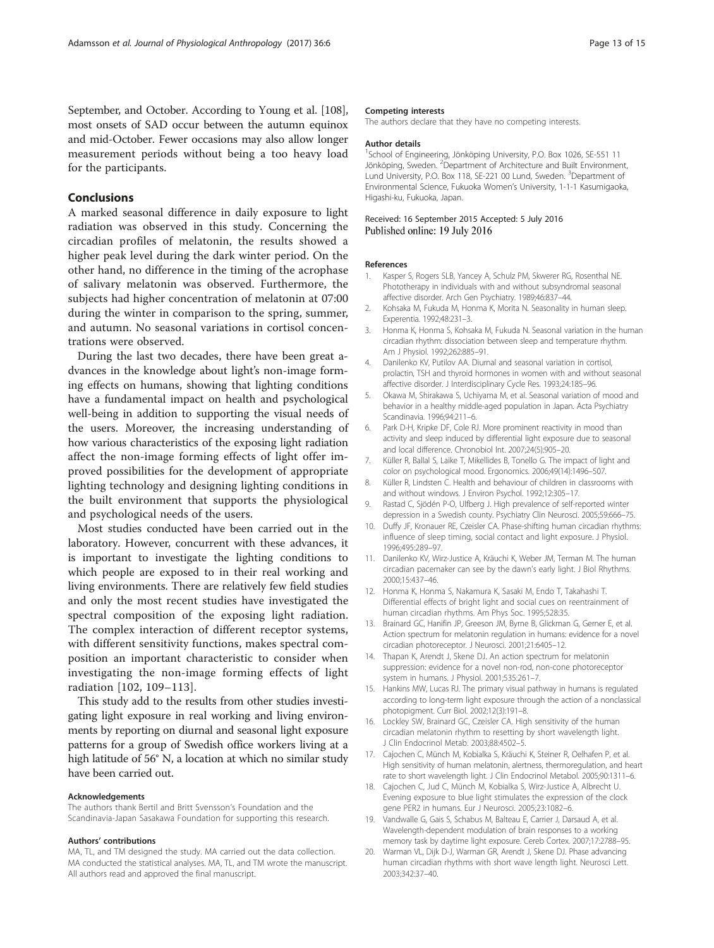<span id="page-12-0"></span>September, and October. According to Young et al. [[108](#page-14-0)], most onsets of SAD occur between the autumn equinox and mid-October. Fewer occasions may also allow longer measurement periods without being a too heavy load for the participants.

### Conclusions

A marked seasonal difference in daily exposure to light radiation was observed in this study. Concerning the circadian profiles of melatonin, the results showed a higher peak level during the dark winter period. On the other hand, no difference in the timing of the acrophase of salivary melatonin was observed. Furthermore, the subjects had higher concentration of melatonin at 07:00 during the winter in comparison to the spring, summer, and autumn. No seasonal variations in cortisol concentrations were observed.

During the last two decades, there have been great advances in the knowledge about light's non-image forming effects on humans, showing that lighting conditions have a fundamental impact on health and psychological well-being in addition to supporting the visual needs of the users. Moreover, the increasing understanding of how various characteristics of the exposing light radiation affect the non-image forming effects of light offer improved possibilities for the development of appropriate lighting technology and designing lighting conditions in the built environment that supports the physiological and psychological needs of the users.

Most studies conducted have been carried out in the laboratory. However, concurrent with these advances, it is important to investigate the lighting conditions to which people are exposed to in their real working and living environments. There are relatively few field studies and only the most recent studies have investigated the spectral composition of the exposing light radiation. The complex interaction of different receptor systems, with different sensitivity functions, makes spectral composition an important characteristic to consider when investigating the non-image forming effects of light radiation [\[102, 109](#page-14-0)–[113\]](#page-14-0).

This study add to the results from other studies investigating light exposure in real working and living environments by reporting on diurnal and seasonal light exposure patterns for a group of Swedish office workers living at a high latitude of 56° N, a location at which no similar study have been carried out.

#### Acknowledgements

The authors thank Bertil and Britt Svensson's Foundation and the Scandinavia-Japan Sasakawa Foundation for supporting this research.

#### Authors' contributions

MA, TL, and TM designed the study. MA carried out the data collection. MA conducted the statistical analyses. MA, TL, and TM wrote the manuscript. All authors read and approved the final manuscript.

#### Competing interests

The authors declare that they have no competing interests.

#### Author details

1 School of Engineering, Jönköping University, P.O. Box 1026, SE-551 11 Jönköping, Sweden. <sup>2</sup>Department of Architecture and Built Environment, Lund University, P.O. Box 118, SE-221 00 Lund, Sweden. <sup>3</sup>Department of Environmental Science, Fukuoka Women's University, 1-1-1 Kasumigaoka, Higashi-ku, Fukuoka, Japan.

### Received: 16 September 2015 Accepted: 5 July 2016 Published online: 19 July 2016

#### References

- 1. Kasper S, Rogers SLB, Yancey A, Schulz PM, Skwerer RG, Rosenthal NE. Phototherapy in individuals with and without subsyndromal seasonal affective disorder. Arch Gen Psychiatry. 1989;46:837–44.
- 2. Kohsaka M, Fukuda M, Honma K, Morita N. Seasonality in human sleep. Experentia. 1992;48:231–3.
- 3. Honma K, Honma S, Kohsaka M, Fukuda N. Seasonal variation in the human circadian rhythm: dissociation between sleep and temperature rhythm. Am J Physiol. 1992;262:885–91.
- 4. Danilenko KV, Putilov AA. Diurnal and seasonal variation in cortisol, prolactin, TSH and thyroid hormones in women with and without seasonal affective disorder. J Interdisciplinary Cycle Res. 1993;24:185–96.
- 5. Okawa M, Shirakawa S, Uchiyama M, et al. Seasonal variation of mood and behavior in a healthy middle-aged population in Japan. Acta Psychiatry Scandinavia. 1996;94:211–6.
- 6. Park D-H, Kripke DF, Cole RJ. More prominent reactivity in mood than activity and sleep induced by differential light exposure due to seasonal and local difference. Chronobiol Int. 2007;24(5):905–20.
- 7. Küller R, Ballal S, Laike T, Mikellides B, Tonello G. The impact of light and color on psychological mood. Ergonomics. 2006;49(14):1496–507.
- 8. Küller R, Lindsten C. Health and behaviour of children in classrooms with and without windows. J Environ Psychol. 1992;12:305–17.
- 9. Rastad C, Sjödén P-O, Ulfberg J. High prevalence of self-reported winter depression in a Swedish county. Psychiatry Clin Neurosci. 2005;59:666–75.
- 10. Duffy JF, Kronauer RE, Czeisler CA. Phase-shifting human circadian rhythms: influence of sleep timing, social contact and light exposure. J Physiol. 1996;495:289–97.
- 11. Danilenko KV, Wirz-Justice A, Kräuchi K, Weber JM, Terman M. The human circadian pacemaker can see by the dawn's early light. J Biol Rhythms. 2000;15:437–46.
- 12. Honma K, Honma S, Nakamura K, Sasaki M, Endo T, Takahashi T. Differential effects of bright light and social cues on reentrainment of human circadian rhythms. Am Phys Soc. 1995;528:35.
- 13. Brainard GC, Hanifin JP, Greeson JM, Byrne B, Glickman G, Gerner E, et al. Action spectrum for melatonin regulation in humans: evidence for a novel circadian photoreceptor. J Neurosci. 2001;21:6405–12.
- 14. Thapan K, Arendt J, Skene DJ. An action spectrum for melatonin suppression: evidence for a novel non-rod, non-cone photoreceptor system in humans. J Physiol. 2001;535:261–7.
- 15. Hankins MW, Lucas RJ. The primary visual pathway in humans is regulated according to long-term light exposure through the action of a nonclassical photopigment. Curr Biol. 2002;12(3):191–8.
- 16. Lockley SW, Brainard GC, Czeisler CA. High sensitivity of the human circadian melatonin rhythm to resetting by short wavelength light. J Clin Endocrinol Metab. 2003;88:4502–5.
- 17. Cajochen C, Münch M, Kobialka S, Kräuchi K, Steiner R, Oelhafen P, et al. High sensitivity of human melatonin, alertness, thermoregulation, and heart rate to short wavelength light. J Clin Endocrinol Metabol. 2005;90:1311–6.
- 18. Cajochen C, Jud C, Münch M, Kobialka S, Wirz-Justice A, Albrecht U. Evening exposure to blue light stimulates the expression of the clock gene PER2 in humans. Eur J Neurosci. 2005;23:1082–6.
- 19. Vandwalle G, Gais S, Schabus M, Balteau E, Carrier J, Darsaud A, et al. Wavelength-dependent modulation of brain responses to a working memory task by daytime light exposure. Cereb Cortex. 2007;17:2788–95.
- 20. Warman VL, Dijk D-J, Warman GR, Arendt J, Skene DJ. Phase advancing human circadian rhythms with short wave length light. Neurosci Lett. 2003;342:37–40.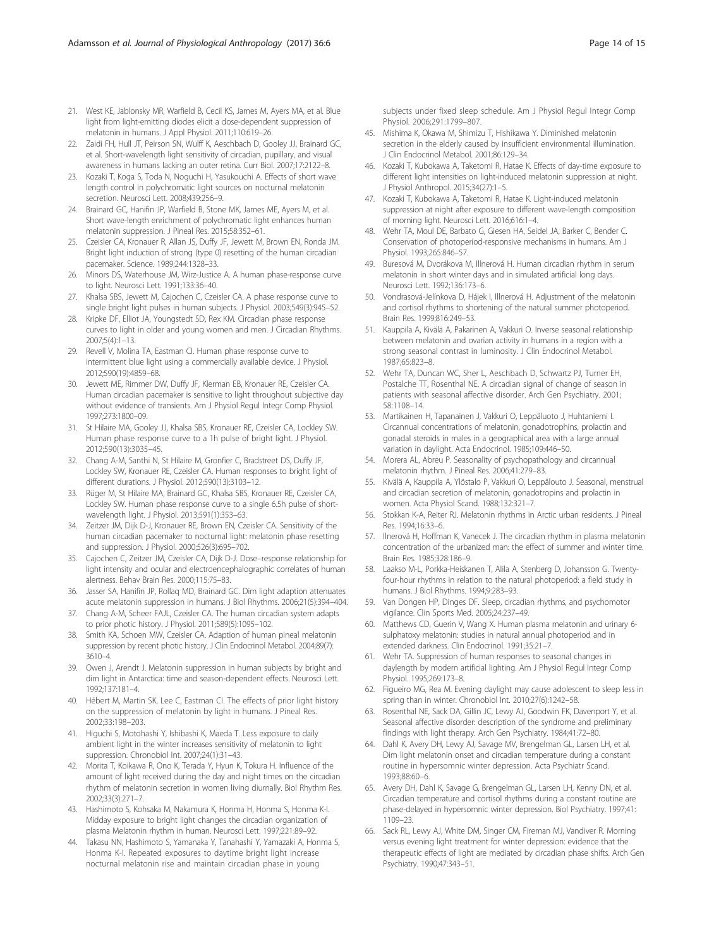- <span id="page-13-0"></span>21. West KE, Jablonsky MR, Warfield B, Cecil KS, James M, Ayers MA, et al. Blue light from light-emitting diodes elicit a dose-dependent suppression of melatonin in humans. J Appl Physiol. 2011;110:619–26.
- 22. Zaidi FH, Hull JT, Peirson SN, Wulff K, Aeschbach D, Gooley JJ, Brainard GC, et al. Short-wavelength light sensitivity of circadian, pupillary, and visual awareness in humans lacking an outer retina. Curr Biol. 2007;17:2122–8.
- 23. Kozaki T, Koga S, Toda N, Noguchi H, Yasukouchi A. Effects of short wave length control in polychromatic light sources on nocturnal melatonin secretion. Neurosci Lett. 2008;439:256–9.
- 24. Brainard GC, Hanifin JP, Warfield B, Stone MK, James ME, Ayers M, et al. Short wave-length enrichment of polychromatic light enhances human melatonin suppression. J Pineal Res. 2015;58:352–61.
- 25. Czeisler CA, Kronauer R, Allan JS, Duffy JF, Jewett M, Brown EN, Ronda JM. Bright light induction of strong (type 0) resetting of the human circadian pacemaker. Science. 1989;244:1328–33.
- 26. Minors DS, Waterhouse JM, Wirz-Justice A. A human phase-response curve to light. Neurosci Lett. 1991;133:36–40.
- 27. Khalsa SBS, Jewett M, Cajochen C, Czeisler CA. A phase response curve to single bright light pulses in human subjects. J Physiol. 2003;549(3):945–52.
- 28. Kripke DF, Elliot JA, Youngstedt SD, Rex KM. Circadian phase response curves to light in older and young women and men. J Circadian Rhythms. 2007;5(4):1–13.
- 29. Revell V, Molina TA, Eastman CI. Human phase response curve to intermittent blue light using a commercially available device. J Physiol. 2012;590(19):4859–68.
- 30. Jewett ME, Rimmer DW, Duffy JF, Klerman EB, Kronauer RE, Czeisler CA. Human circadian pacemaker is sensitive to light throughout subjective day without evidence of transients. Am J Physiol Regul Integr Comp Physiol. 1997;273:1800–09.
- 31. St Hilaire MA, Gooley JJ, Khalsa SBS, Kronauer RE, Czeisler CA, Lockley SW. Human phase response curve to a 1h pulse of bright light. J Physiol. 2012;590(13):3035–45.
- 32. Chang A-M, Santhi N, St Hilaire M, Gronfier C, Bradstreet DS, Duffy JF, Lockley SW, Kronauer RE, Czeisler CA. Human responses to bright light of different durations. J Physiol. 2012;590(13):3103–12.
- 33. Rüger M, St Hilaire MA, Brainard GC, Khalsa SBS, Kronauer RE, Czeisler CA, Lockley SW. Human phase response curve to a single 6.5h pulse of shortwavelength light. J Physiol. 2013;591(1):353–63.
- 34. Zeitzer JM, Dijk D-J, Kronauer RE, Brown EN, Czeisler CA. Sensitivity of the human circadian pacemaker to nocturnal light: melatonin phase resetting and suppression. J Physiol. 2000;526(3):695–702.
- 35. Cajochen C, Zeitzer JM, Czeisler CA, Dijk D-J. Dose–response relationship for light intensity and ocular and electroencephalographic correlates of human alertness. Behav Brain Res. 2000;115:75–83.
- 36. Jasser SA, Hanifin JP, Rollaq MD, Brainard GC. Dim light adaption attenuates acute melatonin suppression in humans. J Biol Rhythms. 2006;21(5):394–404.
- 37. Chang A-M, Scheer FAJL, Czeisler CA. The human circadian system adapts to prior photic history. J Physiol. 2011;589(5):1095–102.
- 38. Smith KA, Schoen MW, Czeisler CA. Adaption of human pineal melatonin suppression by recent photic history. J Clin Endocrinol Metabol. 2004;89(7): 3610–4.
- 39. Owen J, Arendt J. Melatonin suppression in human subjects by bright and dim light in Antarctica: time and season-dependent effects. Neurosci Lett. 1992;137:181–4.
- 40. Hébert M, Martin SK, Lee C, Eastman CI. The effects of prior light history on the suppression of melatonin by light in humans. J Pineal Res. 2002;33:198–203.
- 41. Higuchi S, Motohashi Y, Ishibashi K, Maeda T. Less exposure to daily ambient light in the winter increases sensitivity of melatonin to light suppression. Chronobiol Int. 2007;24(1):31–43.
- 42. Morita T, Koikawa R, Ono K, Terada Y, Hyun K, Tokura H. Influence of the amount of light received during the day and night times on the circadian rhythm of melatonin secretion in women living diurnally. Biol Rhythm Res. 2002;33(3):271–7.
- 43. Hashimoto S, Kohsaka M, Nakamura K, Honma H, Honma S, Honma K-I. Midday exposure to bright light changes the circadian organization of plasma Melatonin rhythm in human. Neurosci Lett. 1997;221:89–92.
- 44. Takasu NN, Hashimoto S, Yamanaka Y, Tanahashi Y, Yamazaki A, Honma S, Honma K-I. Repeated exposures to daytime bright light increase nocturnal melatonin rise and maintain circadian phase in young

subjects under fixed sleep schedule. Am J Physiol Regul Integr Comp Physiol. 2006;291:1799–807.

- 45. Mishima K, Okawa M, Shimizu T, Hishikawa Y. Diminished melatonin secretion in the elderly caused by insufficient environmental illumination. J Clin Endocrinol Metabol. 2001;86:129–34.
- 46. Kozaki T, Kubokawa A, Taketomi R, Hatae K. Effects of day-time exposure to different light intensities on light-induced melatonin suppression at night. J Physiol Anthropol. 2015;34(27):1–5.
- 47. Kozaki T, Kubokawa A, Taketomi R, Hatae K. Light-induced melatonin suppression at night after exposure to different wave-length composition of morning light. Neurosci Lett. 2016;616:1–4.
- 48. Wehr TA, Moul DE, Barbato G, Giesen HA, Seidel JA, Barker C, Bender C. Conservation of photoperiod-responsive mechanisms in humans. Am J Physiol. 1993;265:846–57.
- 49. Buresová M, Dvorákova M, Illnerová H. Human circadian rhythm in serum melatonin in short winter days and in simulated artificial long days. Neurosci Lett. 1992;136:173–6.
- 50. Vondrasová-Jelínkova D, Hájek I, Illnerová H. Adjustment of the melatonin and cortisol rhythms to shortening of the natural summer photoperiod. Brain Res. 1999;816:249–53.
- 51. Kauppila A, Kivälä A, Pakarinen A, Vakkuri O. Inverse seasonal relationship between melatonin and ovarian activity in humans in a region with a strong seasonal contrast in luminosity. J Clin Endocrinol Metabol. 1987;65:823–8.
- 52. Wehr TA, Duncan WC, Sher L, Aeschbach D, Schwartz PJ, Turner EH, Postalche TT, Rosenthal NE. A circadian signal of change of season in patients with seasonal affective disorder. Arch Gen Psychiatry. 2001; 58:1108–14.
- 53. Martikainen H, Tapanainen J, Vakkuri O, Leppäluoto J, Huhtaniemi I. Circannual concentrations of melatonin, gonadotrophins, prolactin and gonadal steroids in males in a geographical area with a large annual variation in daylight. Acta Endocrinol. 1985;109:446–50.
- 54. Morera AL, Abreu P. Seasonality of psychopathology and circannual melatonin rhythm. J Pineal Res. 2006;41:279–83.
- 55. Kivälä A, Kauppila A, Ylöstalo P, Vakkuri O, Leppälouto J. Seasonal, menstrual and circadian secretion of melatonin, gonadotropins and prolactin in women. Acta Physiol Scand. 1988;132:321–7.
- 56. Stokkan K-A, Reiter RJ. Melatonin rhythms in Arctic urban residents. J Pineal Res. 1994;16:33–6.
- 57. Ilnerová H, Hoffman K, Vanecek J. The circadian rhythm in plasma melatonin concentration of the urbanized man: the effect of summer and winter time. Brain Res. 1985;328:186–9.
- 58. Laakso M-L, Porkka-Heiskanen T, Alila A, Stenberg D, Johansson G. Twentyfour-hour rhythms in relation to the natural photoperiod: a field study in humans. J Biol Rhythms. 1994;9:283–93.
- 59. Van Dongen HP, Dinges DF. Sleep, circadian rhythms, and psychomotor vigilance. Clin Sports Med. 2005;24:237–49.
- 60. Matthews CD, Guerin V, Wang X. Human plasma melatonin and urinary 6 sulphatoxy melatonin: studies in natural annual photoperiod and in extended darkness. Clin Endocrinol. 1991;35:21–7.
- 61. Wehr TA. Suppression of human responses to seasonal changes in daylength by modern artificial lighting. Am J Physiol Regul Integr Comp Physiol. 1995;269:173–8.
- 62. Figueiro MG, Rea M. Evening daylight may cause adolescent to sleep less in spring than in winter. Chronobiol Int. 2010;27(6):1242–58.
- 63. Rosenthal NE, Sack DA, Gillin JC, Lewy AJ, Goodwin FK, Davenport Y, et al. Seasonal affective disorder: description of the syndrome and preliminary findings with light therapy. Arch Gen Psychiatry. 1984;41:72–80.
- 64. Dahl K, Avery DH, Lewy AJ, Savage MV, Brengelman GL, Larsen LH, et al. Dim light melatonin onset and circadian temperature during a constant routine in hypersomnic winter depression. Acta Psychiatr Scand. 1993;88:60–6.
- 65. Avery DH, Dahl K, Savage G, Brengelman GL, Larsen LH, Kenny DN, et al. Circadian temperature and cortisol rhythms during a constant routine are phase-delayed in hypersomnic winter depression. Biol Psychiatry. 1997;41: 1109–23.
- 66. Sack RL, Lewy AJ, White DM, Singer CM, Fireman MJ, Vandiver R. Morning versus evening light treatment for winter depression: evidence that the therapeutic effects of light are mediated by circadian phase shifts. Arch Gen Psychiatry. 1990;47:343–51.